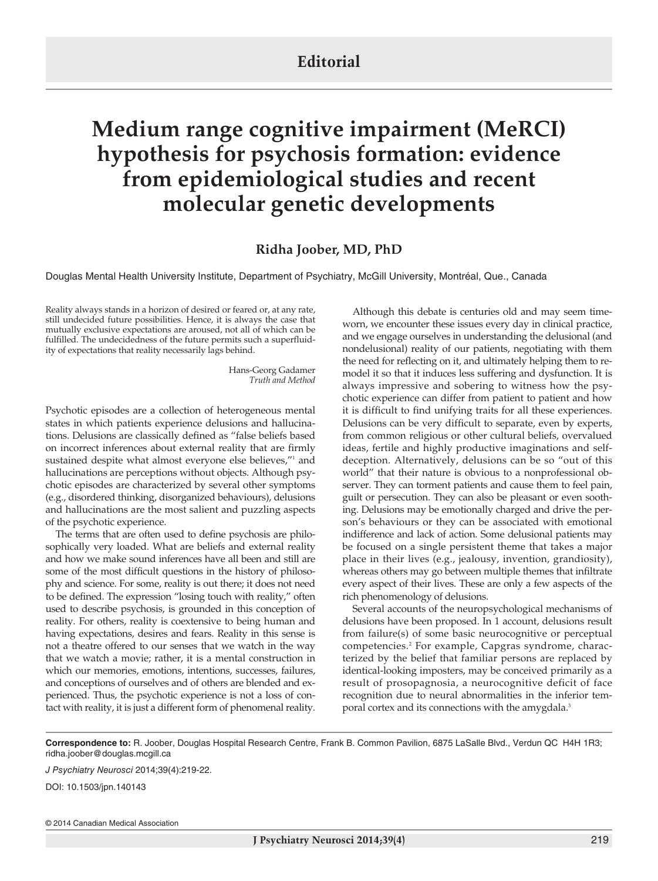## **Editorial**

## **Medium range cognitive impairment (MeRCI) hypothesis for psychosis formation: evidence from epidemiological studies and recent molecular genetic developments**

## **Ridha Joober, MD, PhD**

Douglas Mental Health University Institute, Department of Psychiatry, McGill University, Montréal, Que., Canada

Reality always stands in a horizon of desired or feared or, at any rate, still undecided future possibilities. Hence, it is always the case that mutually exclusive expectations are aroused, not all of which can be fulfilled. The undecidedness of the future permits such a superfluidity of expectations that reality necessarily lags behind.

> Hans-Georg Gadamer *Truth and Method*

Psychotic episodes are a collection of heterogeneous mental states in which patients experience delusions and hallucinations. Delusions are classically defined as "false beliefs based on incorrect inferences about external reality that are firmly sustained despite what almost everyone else believes,"<sup>1</sup> and hallucinations are perceptions without objects. Although psychotic episodes are characterized by several other symptoms (e.g., disordered thinking, disorganized behaviours), delusions and hallucinations are the most salient and puzzling aspects of the psychotic experience.

The terms that are often used to define psychosis are philosophically very loaded. What are beliefs and external reality and how we make sound inferences have all been and still are some of the most difficult questions in the history of philosophy and science. For some, reality is out there; it does not need to be defined. The expression "losing touch with reality," often used to describe psychosis, is grounded in this conception of reality. For others, reality is coextensive to being human and having expectations, desires and fears. Reality in this sense is not a theatre offered to our senses that we watch in the way that we watch a movie; rather, it is a mental construction in which our memories, emotions, intentions, successes, failures, and conceptions of ourselves and of others are blended and experienced. Thus, the psychotic experience is not a loss of contact with reality, it is just a different form of phenomenal reality.

Although this debate is centuries old and may seem timeworn, we encounter these issues every day in clinical practice, and we engage ourselves in understanding the delusional (and nondelusional) reality of our patients, negotiating with them the need for reflecting on it, and ultimately helping them to remodel it so that it induces less suffering and dysfunction. It is always impressive and sobering to witness how the psychotic experience can differ from patient to patient and how it is difficult to find unifying traits for all these experiences. Delusions can be very difficult to separate, even by experts, from common religious or other cultural beliefs, overvalued ideas, fertile and highly productive imaginations and selfdeception. Alternatively, delusions can be so "out of this world" that their nature is obvious to a nonprofessional observer. They can torment patients and cause them to feel pain, guilt or persecution. They can also be pleasant or even soothing. Delusions may be emotionally charged and drive the person's behaviours or they can be associated with emotional indifference and lack of action. Some delusional patients may be focused on a single persistent theme that takes a major place in their lives (e.g., jealousy, invention, grandiosity), whereas others may go between multiple themes that infiltrate every aspect of their lives. These are only a few aspects of the rich phenomenology of delusions.

Several accounts of the neuropsychological mechanisms of delusions have been proposed. In 1 account, delusions result from failure(s) of some basic neurocognitive or perceptual competencies. <sup>2</sup> For example, Capgras syndrome, characterized by the belief that familiar persons are replaced by identical-looking imposters, may be conceived primarily as a result of prosopagnosia, a neurocognitive deficit of face recognition due to neural abnormalities in the inferior temporal cortex and its connections with the amygdala. 3

**Correspondence to:** R. Joober, Douglas Hospital Research Centre, Frank B. Common Pavilion, 6875 LaSalle Blvd., Verdun QC H4H 1R3; ridha.joober@douglas.mcgill.ca

*J Psychiatry Neurosci* 2014;39(4):219-22.

DOI: 10.1503/jpn.140143

© 2014 Canadian Medical Association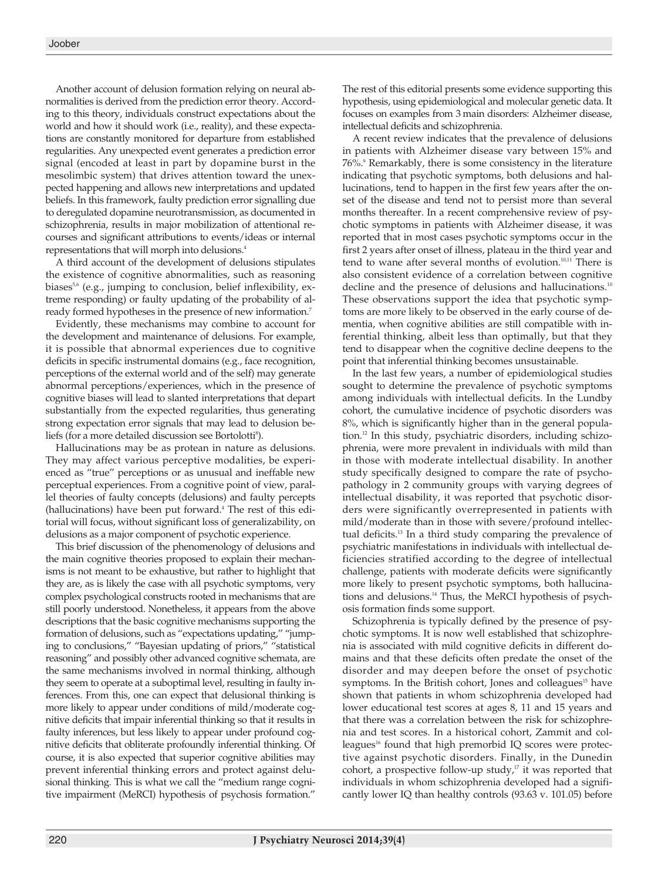Another account of delusion formation relying on neural abnormalities is derived from the prediction error theory. According to this theory, individuals construct expectations about the world and how it should work (i.e., reality), and these expectations are constantly monitored for departure from established regularities. Any unexpected event generates a prediction error signal (encoded at least in part by dopamine burst in the mesolimbic system) that drives attention toward the unexpected happening and allows new interpretations and updated beliefs. In this framework, faulty prediction error signalling due to deregulated dopamine neurotransmission, as documented in schizophrenia, results in major mobilization of attentional recourses and significant attributions to events/ideas or internal representations that will morph into delusions. 4

A third account of the development of delusions stipulates the existence of cognitive abnormalities, such as reasoning biases<sup>5,6</sup> (e.g., jumping to conclusion, belief inflexibility, extreme responding) or faulty updating of the probability of already formed hypotheses in the presence of new information. 7

Evidently, these mechanisms may combine to account for the development and maintenance of delusions. For example, it is possible that abnormal experiences due to cognitive deficits in specific instrumental domains (e.g., face recognition, perceptions of the external world and of the self) may generate abnormal perceptions/experiences, which in the presence of cognitive biases will lead to slanted interpretations that depart substantially from the expected regularities, thus generating strong expectation error signals that may lead to delusion beliefs (for a more detailed discussion see Bortolotti 8 ).

Hallucinations may be as protean in nature as delusions. They may affect various perceptive modalities, be experienced as "true" perceptions or as unusual and ineffable new perceptual experiences. From a cognitive point of view, parallel theories of faulty concepts (delusions) and faulty percepts (hallucinations) have been put forward. <sup>4</sup> The rest of this editorial will focus, without significant loss of generalizability, on delusions as a major component of psychotic experience.

This brief discussion of the phenomenology of delusions and the main cognitive theories proposed to explain their mechanisms is not meant to be exhaustive, but rather to highlight that they are, as is likely the case with all psychotic symptoms, very complex psychological constructs rooted in mechanisms that are still poorly understood. Nonetheless, it appears from the above descriptions that the basic cognitive mechanisms supporting the formation of delusions, such as "expectations updating," "jumping to conclusions," "Bayesian updating of priors," "statistical reasoning" and possibly other advanced cognitive schemata, are the same mechanisms involved in normal thinking, although they seem to operate at a suboptimal level, resulting in faulty inferences. From this, one can expect that delusional thinking is more likely to appear under conditions of mild/moderate cognitive deficits that impair inferential thinking so that it results in faulty inferences, but less likely to appear under profound cognitive deficits that obliterate profoundly inferential thinking. Of course, it is also expected that superior cognitive abilities may prevent inferential thinking errors and protect against delusional thinking. This is what we call the "medium range cognitive impairment (MeRCI) hypothesis of psychosis formation."

The rest of this editorial presents some evidence supporting this hypothesis, using epidemiological and molecular genetic data. It focuses on examples from 3 main disorders: Alzheimer disease, intellectual deficits and schizophrenia.

A recent review indicates that the prevalence of delusions in patients with Alzheimer disease vary between 15% and 76%. <sup>9</sup> Remarkably, there is some consistency in the literature indicating that psychotic symptoms, both delusions and hallucinations, tend to happen in the first few years after the onset of the disease and tend not to persist more than several months thereafter. In a recent comprehensive review of psychotic symptoms in patients with Alzheimer disease, it was reported that in most cases psychotic symptoms occur in the first 2 years after onset of illness, plateau in the third year and tend to wane after several months of evolution. 10,11 There is also consistent evidence of a correlation between cognitive decline and the presence of delusions and hallucinations.<sup>10</sup> These observations support the idea that psychotic symptoms are more likely to be observed in the early course of dementia, when cognitive abilities are still compatible with inferential thinking, albeit less than optimally, but that they tend to disappear when the cognitive decline deepens to the point that inferential thinking becomes unsustainable.

In the last few years, a number of epidemiological studies sought to determine the prevalence of psychotic symptoms among individuals with intellectual deficits. In the Lundby cohort, the cumulative incidence of psychotic disorders was 8%, which is significantly higher than in the general population. <sup>12</sup> In this study, psychiatric disorders, including schizophrenia, were more prevalent in individuals with mild than in those with moderate intellectual disability. In another study specifically designed to compare the rate of psychopathology in 2 community groups with varying degrees of intellectual disability, it was reported that psychotic disorders were significantly overrepresented in patients with mild/moderate than in those with severe/profound intellectual deficits. <sup>13</sup> In a third study comparing the prevalence of psychiatric manifestations in individuals with intellectual deficiencies stratified according to the degree of intellectual challenge, patients with moderate deficits were significantly more likely to present psychotic symptoms, both hallucinations and delusions. <sup>14</sup> Thus, the MeRCI hypothesis of psychosis formation finds some support.

Schizophrenia is typically defined by the presence of psychotic symptoms. It is now well established that schizophrenia is associated with mild cognitive deficits in different domains and that these deficits often predate the onset of the disorder and may deepen before the onset of psychotic symptoms. In the British cohort, Jones and colleagues<sup>15</sup> have shown that patients in whom schizophrenia developed had lower educational test scores at ages 8, 11 and 15 years and that there was a correlation between the risk for schizophrenia and test scores. In a historical cohort, Zammit and colleagues<sup>16</sup> found that high premorbid IQ scores were protective against psychotic disorders. Finally, in the Dunedin cohort, a prospective follow-up study, <sup>17</sup> it was reported that individuals in whom schizophrenia developed had a significantly lower IQ than healthy controls (93.63 v. 101.05) before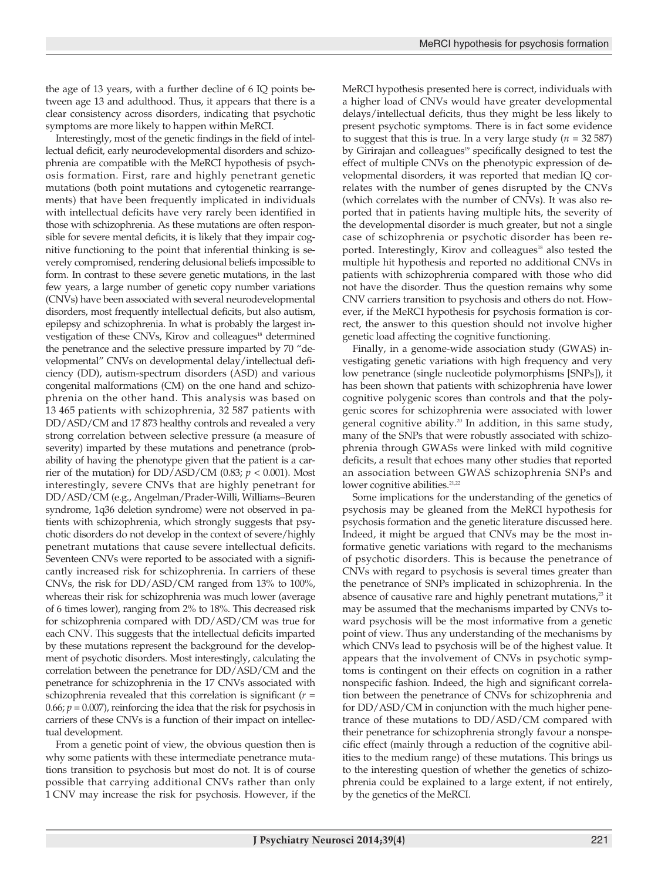the age of 13 years, with a further decline of 6 IQ points between age 13 and adulthood. Thus, it appears that there is a clear consistency across disorders, indicating that psychotic symptoms are more likely to happen within MeRCI.

Interestingly, most of the genetic findings in the field of intellectual deficit, early neurodevelopmental disorders and schizophrenia are compatible with the MeRCI hypothesis of psychosis formation. First, rare and highly penetrant genetic mutations (both point mutations and cytogenetic rearrangements) that have been frequently implicated in individuals with intellectual deficits have very rarely been identified in those with schizophrenia. As these mutations are often responsible for severe mental deficits, it is likely that they impair cognitive functioning to the point that inferential thinking is severely compromised, rendering delusional beliefs impossible to form. In contrast to these severe genetic mutations, in the last few years, a large number of genetic copy number variations (CNVs) have been associated with several neurodevelopmental disorders, most frequently intellectual deficits, but also autism, epilepsy and schizophrenia. In what is probably the largest investigation of these CNVs, Kirov and colleagues<sup>18</sup> determined the penetrance and the selective pressure imparted by 70 "developmental" CNVs on developmental delay/intellectual deficiency (DD), autism-spectrum disorders (ASD) and various congenital malformations (CM) on the one hand and schizophrenia on the other hand. This analysis was based on 13 465 patients with schizophrenia, 32 587 patients with DD/ASD/CM and 17 873 healthy controls and revealed a very strong correlation between selective pressure (a measure of severity) imparted by these mutations and penetrance (probability of having the phenotype given that the patient is a carrier of the mutation) for  $DD/ASD/CM$  (0.83;  $p < 0.001$ ). Most interestingly, severe CNVs that are highly penetrant for DD/ASD/CM (e.g., Angelman/Prader-Willi, Williams–Beuren syndrome, 1q36 deletion syndrome) were not observed in patients with schizophrenia, which strongly suggests that psychotic disorders do not develop in the context of severe/highly penetrant mutations that cause severe intellectual deficits. Seventeen CNVs were reported to be associated with a significantly increased risk for schizophrenia. In carriers of these CNVs, the risk for DD/ASD/CM ranged from 13% to 100%, whereas their risk for schizophrenia was much lower (average of 6 times lower), ranging from 2% to 18%. This decreased risk for schizophrenia compared with DD/ASD/CM was true for each CNV. This suggests that the intellectual deficits imparted by these mutations represent the background for the development of psychotic disorders. Most interestingly, calculating the correlation between the penetrance for DD/ASD/CM and the penetrance for schizophrenia in the 17 CNVs associated with schizophrenia revealed that this correlation is significant (*r* = 0.66;  $p = 0.007$ ), reinforcing the idea that the risk for psychosis in carriers of these CNVs is a function of their impact on intellectual development.

From a genetic point of view, the obvious question then is why some patients with these intermediate penetrance mutations transition to psychosis but most do not. It is of course possible that carrying additional CNVs rather than only 1 CNV may increase the risk for psychosis. However, if the

MeRCI hypothesis presented here is correct, individuals with a higher load of CNVs would have greater developmental delays/intellectual deficits, thus they might be less likely to present psychotic symptoms. There is in fact some evidence to suggest that this is true. In a very large study  $(n = 32587)$ by Girirajan and colleagues<sup>19</sup> specifically designed to test the effect of multiple CNVs on the phenotypic expression of developmental disorders, it was reported that median IQ correlates with the number of genes disrupted by the CNVs (which correlates with the number of CNVs). It was also reported that in patients having multiple hits, the severity of the developmental disorder is much greater, but not a single case of schizophrenia or psychotic disorder has been reported. Interestingly, Kirov and colleagues<sup>18</sup> also tested the multiple hit hypothesis and reported no additional CNVs in patients with schizophrenia compared with those who did not have the disorder. Thus the question remains why some CNV carriers transition to psychosis and others do not. However, if the MeRCI hypothesis for psychosis formation is correct, the answer to this question should not involve higher genetic load affecting the cognitive functioning.

Finally, in a genome-wide association study (GWAS) investigating genetic variations with high frequency and very low penetrance (single nucleotide polymorphisms [SNPs]), it has been shown that patients with schizophrenia have lower cognitive polygenic scores than controls and that the polygenic scores for schizophrenia were associated with lower general cognitive ability. <sup>20</sup> In addition, in this same study, many of the SNPs that were robustly associated with schizophrenia through GWASs were linked with mild cognitive deficits, a result that echoes many other studies that reported an association between GWAS schizophrenia SNPs and lower cognitive abilities.<sup>21,22</sup>

Some implications for the understanding of the genetics of psychosis may be gleaned from the MeRCI hypothesis for psychosis formation and the genetic literature discussed here. Indeed, it might be argued that CNVs may be the most informative genetic variations with regard to the mechanisms of psychotic disorders. This is because the penetrance of CNVs with regard to psychosis is several times greater than the penetrance of SNPs implicated in schizophrenia. In the absence of causative rare and highly penetrant mutations,<sup>23</sup> it may be assumed that the mechanisms imparted by CNVs toward psychosis will be the most informative from a genetic point of view. Thus any understanding of the mechanisms by which CNVs lead to psychosis will be of the highest value. It appears that the involvement of CNVs in psychotic symptoms is contingent on their effects on cognition in a rather nonspecific fashion. Indeed, the high and significant correlation between the penetrance of CNVs for schizophrenia and for DD/ASD/CM in conjunction with the much higher penetrance of these mutations to DD/ASD/CM compared with their penetrance for schizophrenia strongly favour a nonspecific effect (mainly through a reduction of the cognitive abilities to the medium range) of these mutations. This brings us to the interesting question of whether the genetics of schizophrenia could be explained to a large extent, if not entirely, by the genetics of the MeRCI.